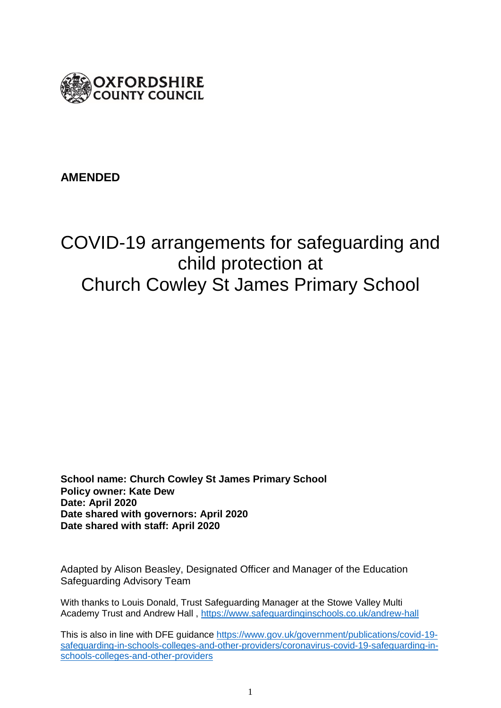

## **AMENDED**

# COVID-19 arrangements for safeguarding and child protection at Church Cowley St James Primary School

**School name: Church Cowley St James Primary School Policy owner: Kate Dew Date: April 2020 Date shared with governors: April 2020 Date shared with staff: April 2020**

Adapted by Alison Beasley, Designated Officer and Manager of the Education Safeguarding Advisory Team

With thanks to Louis Donald, Trust Safeguarding Manager at the Stowe Valley Multi Academy Trust and Andrew Hall ,<https://www.safeguardinginschools.co.uk/andrew-hall>

This is also in line with DFE guidance [https://www.gov.uk/government/publications/covid-19](https://www.gov.uk/government/publications/covid-19-safeguarding-in-schools-colleges-and-other-providers/coronavirus-covid-19-safeguarding-in-schools-colleges-and-other-providers) [safeguarding-in-schools-colleges-and-other-providers/coronavirus-covid-19-safeguarding-in](https://www.gov.uk/government/publications/covid-19-safeguarding-in-schools-colleges-and-other-providers/coronavirus-covid-19-safeguarding-in-schools-colleges-and-other-providers)[schools-colleges-and-other-providers](https://www.gov.uk/government/publications/covid-19-safeguarding-in-schools-colleges-and-other-providers/coronavirus-covid-19-safeguarding-in-schools-colleges-and-other-providers)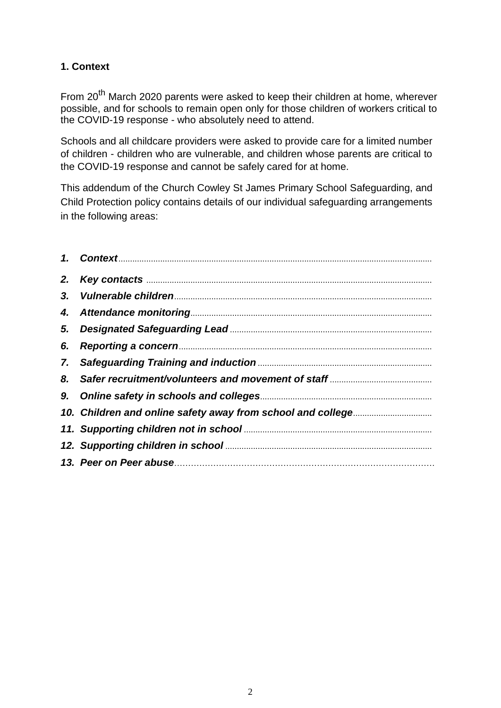## **1. Context**

From 20<sup>th</sup> March 2020 parents were asked to keep their children at home, wherever possible, and for schools to remain open only for those children of workers critical to the COVID-19 response - who absolutely need to attend.

Schools and all childcare providers were asked to provide care for a limited number of children - children who are vulnerable, and children whose parents are critical to the COVID-19 response and cannot be safely cared for at home.

This addendum of the Church Cowley St James Primary School Safeguarding, and Child Protection policy contains details of our individual safeguarding arrangements in the following areas:

| 6. |  |
|----|--|
|    |  |
|    |  |
|    |  |
|    |  |
|    |  |
|    |  |
|    |  |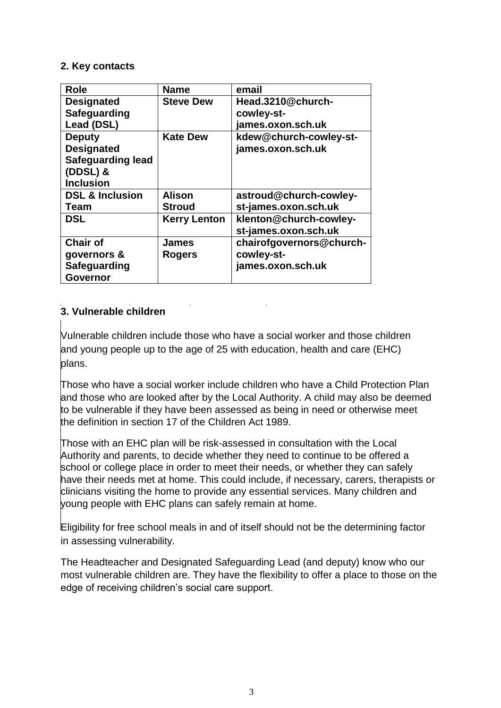#### **2. Key contacts**

| <b>Role</b>                | <b>Name</b>         | email                    |
|----------------------------|---------------------|--------------------------|
| <b>Designated</b>          | <b>Steve Dew</b>    | Head.3210@church-        |
| Safeguarding               |                     | cowley-st-               |
| Lead (DSL)                 |                     | james.oxon.sch.uk        |
| <b>Deputy</b>              | <b>Kate Dew</b>     | kdew@church-cowley-st-   |
| <b>Designated</b>          |                     | james.oxon.sch.uk        |
| <b>Safeguarding lead</b>   |                     |                          |
| $(DDSL)$ &                 |                     |                          |
| <b>Inclusion</b>           |                     |                          |
| <b>DSL &amp; Inclusion</b> | <b>Alison</b>       | astroud@church-cowley-   |
| Team                       | <b>Stroud</b>       | st-james.oxon.sch.uk     |
| <b>DSL</b>                 | <b>Kerry Lenton</b> | klenton@church-cowley-   |
|                            |                     | st-james.oxon.sch.uk     |
| <b>Chair of</b>            | <b>James</b>        | chairofgovernors@church- |
| governors &                | <b>Rogers</b>       | cowley-st-               |
| Safeguarding               |                     | james.oxon.sch.uk        |
| <b>Governor</b>            |                     |                          |

## **3. Vulnerable children**

Vulnerable children include those who have a social worker and those children and young people up to the age of 25 with education, health and care (EHC) plans.

Those who have a social worker include children who have a Child Protection Plan and those who are looked after by the Local Authority. A child may also be deemed to be vulnerable if they have been assessed as being in need or otherwise meet the definition in section 17 of the Children Act 1989.

Those with an EHC plan will be risk-assessed in consultation with the Local Authority and parents, to decide whether they need to continue to be offered a school or college place in order to meet their needs, or whether they can safely have their needs met at home. This could include, if necessary, carers, therapists or clinicians visiting the home to provide any essential services. Many children and young people with EHC plans can safely remain at home.

Eligibility for free school meals in and of itself should not be the determining factor in assessing vulnerability.

The Headteacher and Designated Safeguarding Lead (and deputy) know who our most vulnerable children are. They have the flexibility to offer a place to those on the edge of receiving children's social care support.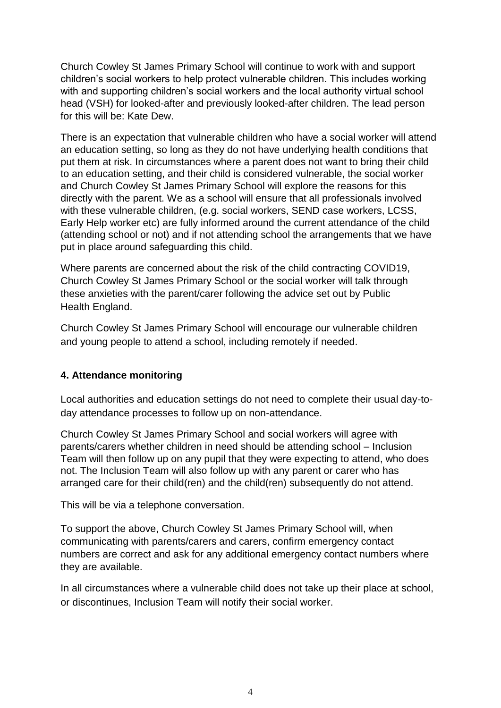Church Cowley St James Primary School will continue to work with and support children's social workers to help protect vulnerable children. This includes working with and supporting children's social workers and the local authority virtual school head (VSH) for looked-after and previously looked-after children. The lead person for this will be: Kate Dew.

There is an expectation that vulnerable children who have a social worker will attend an education setting, so long as they do not have underlying health conditions that put them at risk. In circumstances where a parent does not want to bring their child to an education setting, and their child is considered vulnerable, the social worker and Church Cowley St James Primary School will explore the reasons for this directly with the parent. We as a school will ensure that all professionals involved with these vulnerable children, (e.g. social workers, SEND case workers, LCSS, Early Help worker etc) are fully informed around the current attendance of the child (attending school or not) and if not attending school the arrangements that we have put in place around safeguarding this child.

Where parents are concerned about the risk of the child contracting COVID19, Church Cowley St James Primary School or the social worker will talk through these anxieties with the parent/carer following the advice set out by Public Health England.

Church Cowley St James Primary School will encourage our vulnerable children and young people to attend a school, including remotely if needed.

## **4. Attendance monitoring**

Local authorities and education settings do not need to complete their usual day-today attendance processes to follow up on non-attendance.

Church Cowley St James Primary School and social workers will agree with parents/carers whether children in need should be attending school – Inclusion Team will then follow up on any pupil that they were expecting to attend, who does not. The Inclusion Team will also follow up with any parent or carer who has arranged care for their child(ren) and the child(ren) subsequently do not attend.

This will be via a telephone conversation.

To support the above, Church Cowley St James Primary School will, when communicating with parents/carers and carers, confirm emergency contact numbers are correct and ask for any additional emergency contact numbers where they are available.

In all circumstances where a vulnerable child does not take up their place at school, or discontinues, Inclusion Team will notify their social worker.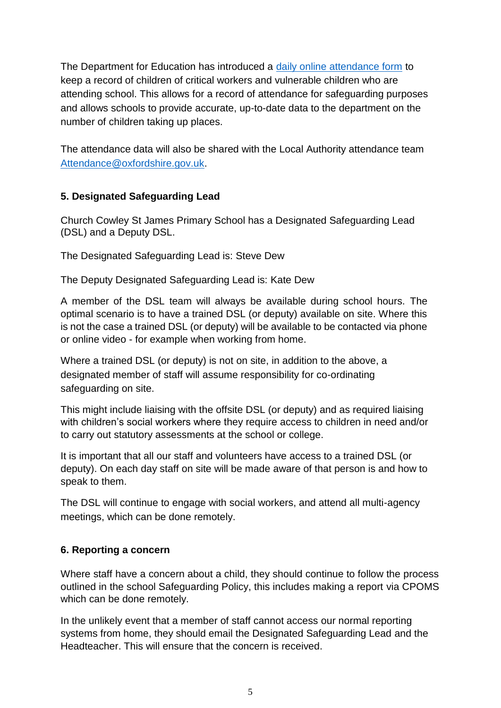The Department for Education has introduced a [daily online attendance form](https://www.gov.uk/government/publications/coronavirus-covid-19-attendance-recording-for-educational-settings) to keep a record of children of critical workers and vulnerable children who are attending school. This allows for a record of attendance for safeguarding purposes and allows schools to provide accurate, up-to-date data to the department on the number of children taking up places.

The attendance data will also be shared with the Local Authority attendance team [Attendance@oxfordshire.gov.uk.](mailto:Attendance@oxfordshire.gov.uk)

## **5. Designated Safeguarding Lead**

Church Cowley St James Primary School has a Designated Safeguarding Lead (DSL) and a Deputy DSL.

The Designated Safeguarding Lead is: Steve Dew

The Deputy Designated Safeguarding Lead is: Kate Dew

A member of the DSL team will always be available during school hours. The optimal scenario is to have a trained DSL (or deputy) available on site. Where this is not the case a trained DSL (or deputy) will be available to be contacted via phone or online video - for example when working from home.

Where a trained DSL (or deputy) is not on site, in addition to the above, a designated member of staff will assume responsibility for co-ordinating safeguarding on site.

This might include liaising with the offsite DSL (or deputy) and as required liaising with children's social workers where they require access to children in need and/or to carry out statutory assessments at the school or college.

It is important that all our staff and volunteers have access to a trained DSL (or deputy). On each day staff on site will be made aware of that person is and how to speak to them.

The DSL will continue to engage with social workers, and attend all multi-agency meetings, which can be done remotely.

## **6. Reporting a concern**

Where staff have a concern about a child, they should continue to follow the process outlined in the school Safeguarding Policy, this includes making a report via CPOMS which can be done remotely.

In the unlikely event that a member of staff cannot access our normal reporting systems from home, they should email the Designated Safeguarding Lead and the Headteacher. This will ensure that the concern is received.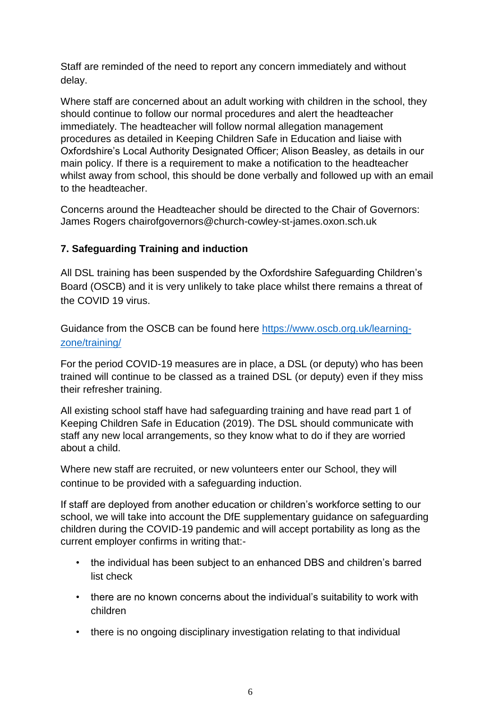Staff are reminded of the need to report any concern immediately and without delay.

Where staff are concerned about an adult working with children in the school, they should continue to follow our normal procedures and alert the headteacher immediately. The headteacher will follow normal allegation management procedures as detailed in Keeping Children Safe in Education and liaise with Oxfordshire's Local Authority Designated Officer; Alison Beasley, as details in our main policy. If there is a requirement to make a notification to the headteacher whilst away from school, this should be done verbally and followed up with an email to the headteacher.

Concerns around the Headteacher should be directed to the Chair of Governors: James Rogers chairofgovernors@church-cowley-st-james.oxon.sch.uk

## **7. Safeguarding Training and induction**

All DSL training has been suspended by the Oxfordshire Safeguarding Children's Board (OSCB) and it is very unlikely to take place whilst there remains a threat of the COVID 19 virus.

Guidance from the OSCB can be found here [https://www.oscb.org.uk/learning](https://www.oscb.org.uk/learning-zone/training/)[zone/training/](https://www.oscb.org.uk/learning-zone/training/)

For the period COVID-19 measures are in place, a DSL (or deputy) who has been trained will continue to be classed as a trained DSL (or deputy) even if they miss their refresher training.

All existing school staff have had safeguarding training and have read part 1 of Keeping Children Safe in Education (2019). The DSL should communicate with staff any new local arrangements, so they know what to do if they are worried about a child.

Where new staff are recruited, or new volunteers enter our School, they will continue to be provided with a safeguarding induction.

If staff are deployed from another education or children's workforce setting to our school, we will take into account the DfE supplementary guidance on safeguarding children during the COVID-19 pandemic and will accept portability as long as the current employer confirms in writing that:-

- the individual has been subject to an enhanced DBS and children's barred list check
- there are no known concerns about the individual's suitability to work with children
- there is no ongoing disciplinary investigation relating to that individual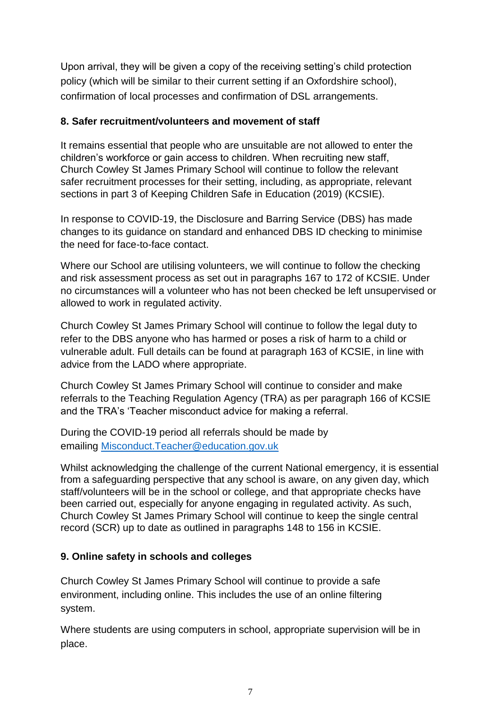Upon arrival, they will be given a copy of the receiving setting's child protection policy (which will be similar to their current setting if an Oxfordshire school), confirmation of local processes and confirmation of DSL arrangements.

## **8. Safer recruitment/volunteers and movement of staff**

It remains essential that people who are unsuitable are not allowed to enter the children's workforce or gain access to children. When recruiting new staff, Church Cowley St James Primary School will continue to follow the relevant safer recruitment processes for their setting, including, as appropriate, relevant sections in part 3 of Keeping Children Safe in Education (2019) (KCSIE).

In response to COVID-19, the Disclosure and Barring Service (DBS) has made changes to its guidance on standard and enhanced DBS ID checking to minimise the need for face-to-face contact.

Where our School are utilising volunteers, we will continue to follow the checking and risk assessment process as set out in paragraphs 167 to 172 of KCSIE. Under no circumstances will a volunteer who has not been checked be left unsupervised or allowed to work in regulated activity.

Church Cowley St James Primary School will continue to follow the legal duty to refer to the DBS anyone who has harmed or poses a risk of harm to a child or vulnerable adult. Full details can be found at paragraph 163 of KCSIE, in line with advice from the LADO where appropriate.

Church Cowley St James Primary School will continue to consider and make referrals to the Teaching Regulation Agency (TRA) as per paragraph 166 of KCSIE and the TRA's 'Teacher misconduct advice for making a referral.

During the COVID-19 period all referrals should be made by emailing Misconduct.Teacher@education.gov.uk

Whilst acknowledging the challenge of the current National emergency, it is essential from a safeguarding perspective that any school is aware, on any given day, which staff/volunteers will be in the school or college, and that appropriate checks have been carried out, especially for anyone engaging in regulated activity. As such, Church Cowley St James Primary School will continue to keep the single central record (SCR) up to date as outlined in paragraphs 148 to 156 in KCSIE.

## **9. Online safety in schools and colleges**

Church Cowley St James Primary School will continue to provide a safe environment, including online. This includes the use of an online filtering system.

Where students are using computers in school, appropriate supervision will be in place.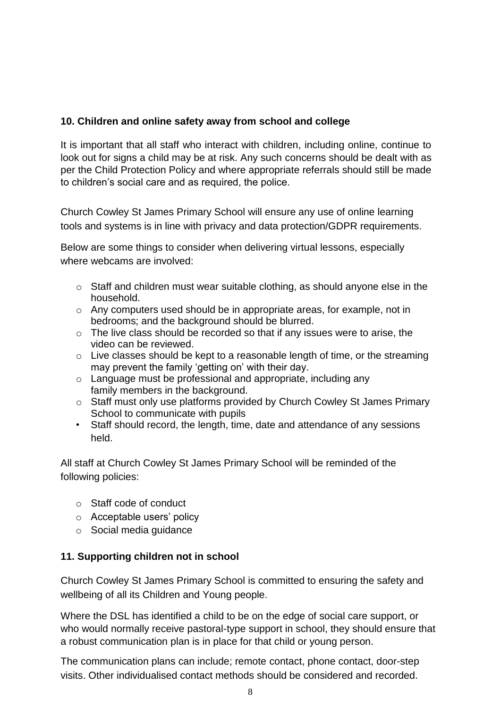## **10. Children and online safety away from school and college**

It is important that all staff who interact with children, including online, continue to look out for signs a child may be at risk. Any such concerns should be dealt with as per the Child Protection Policy and where appropriate referrals should still be made to children's social care and as required, the police.

Church Cowley St James Primary School will ensure any use of online learning tools and systems is in line with privacy and data protection/GDPR requirements.

Below are some things to consider when delivering virtual lessons, especially where webcams are involved:

- o Staff and children must wear suitable clothing, as should anyone else in the household.
- o Any computers used should be in appropriate areas, for example, not in bedrooms; and the background should be blurred.
- $\circ$  The live class should be recorded so that if any issues were to arise, the video can be reviewed.
- $\circ$  Live classes should be kept to a reasonable length of time, or the streaming may prevent the family 'getting on' with their day.
- o Language must be professional and appropriate, including any family members in the background.
- o Staff must only use platforms provided by Church Cowley St James Primary School to communicate with pupils
- Staff should record, the length, time, date and attendance of any sessions held.

All staff at Church Cowley St James Primary School will be reminded of the following policies:

- o Staff code of conduct
- o Acceptable users' policy
- o Social media guidance

## **11. Supporting children not in school**

Church Cowley St James Primary School is committed to ensuring the safety and wellbeing of all its Children and Young people.

Where the DSL has identified a child to be on the edge of social care support, or who would normally receive pastoral-type support in school, they should ensure that a robust communication plan is in place for that child or young person.

The communication plans can include; remote contact, phone contact, door-step visits. Other individualised contact methods should be considered and recorded.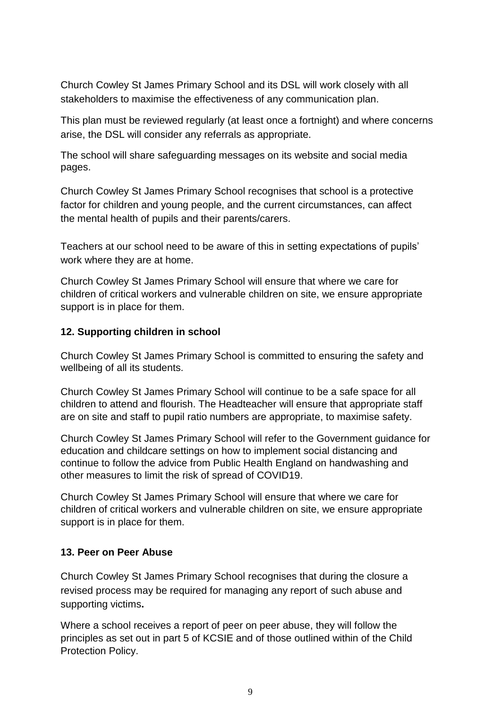Church Cowley St James Primary School and its DSL will work closely with all stakeholders to maximise the effectiveness of any communication plan.

This plan must be reviewed regularly (at least once a fortnight) and where concerns arise, the DSL will consider any referrals as appropriate.

The school will share safeguarding messages on its website and social media pages.

Church Cowley St James Primary School recognises that school is a protective factor for children and young people, and the current circumstances, can affect the mental health of pupils and their parents/carers.

Teachers at our school need to be aware of this in setting expectations of pupils' work where they are at home.

Church Cowley St James Primary School will ensure that where we care for children of critical workers and vulnerable children on site, we ensure appropriate support is in place for them.

#### **12. Supporting children in school**

Church Cowley St James Primary School is committed to ensuring the safety and wellbeing of all its students.

Church Cowley St James Primary School will continue to be a safe space for all children to attend and flourish. The Headteacher will ensure that appropriate staff are on site and staff to pupil ratio numbers are appropriate, to maximise safety.

Church Cowley St James Primary School will refer to the Government guidance for education and childcare settings on how to implement social distancing and continue to follow the advice from Public Health England on handwashing and other measures to limit the risk of spread of COVID19.

Church Cowley St James Primary School will ensure that where we care for children of critical workers and vulnerable children on site, we ensure appropriate support is in place for them.

#### **13. Peer on Peer Abuse**

Church Cowley St James Primary School recognises that during the closure a revised process may be required for managing any report of such abuse and supporting victims**.**

Where a school receives a report of peer on peer abuse, they will follow the principles as set out in part 5 of KCSIE and of those outlined within of the Child Protection Policy.